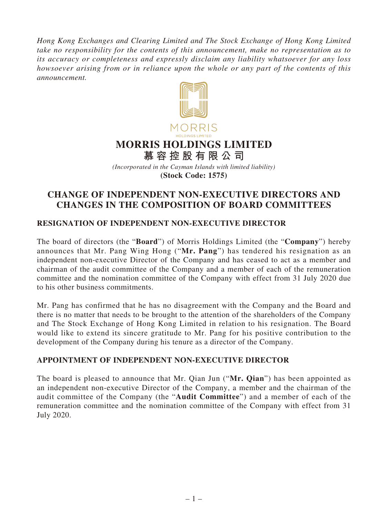*Hong Kong Exchanges and Clearing Limited and The Stock Exchange of Hong Kong Limited take no responsibility for the contents of this announcement, make no representation as to its accuracy or completeness and expressly disclaim any liability whatsoever for any loss howsoever arising from or in reliance upon the whole or any part of the contents of this announcement.*



*(Incorporated in the Cayman Islands with limited liability)* **(Stock Code: 1575)**

## **CHANGE OF INDEPENDENT NON-EXECUTIVE DIRECTORS AND CHANGES IN THE COMPOSITION OF BOARD COMMITTEES**

## **RESIGNATION OF INDEPENDENT NON-EXECUTIVE DIRECTOR**

The board of directors (the "**Board**") of Morris Holdings Limited (the "**Company**") hereby announces that Mr. Pang Wing Hong ("**Mr. Pang**") has tendered his resignation as an independent non-executive Director of the Company and has ceased to act as a member and chairman of the audit committee of the Company and a member of each of the remuneration committee and the nomination committee of the Company with effect from 31 July 2020 due to his other business commitments.

Mr. Pang has confirmed that he has no disagreement with the Company and the Board and there is no matter that needs to be brought to the attention of the shareholders of the Company and The Stock Exchange of Hong Kong Limited in relation to his resignation. The Board would like to extend its sincere gratitude to Mr. Pang for his positive contribution to the development of the Company during his tenure as a director of the Company.

## **APPOINTMENT OF INDEPENDENT NON-EXECUTIVE DIRECTOR**

The board is pleased to announce that Mr. Qian Jun ("**Mr. Qian**") has been appointed as an independent non-executive Director of the Company, a member and the chairman of the audit committee of the Company (the "**Audit Committee**") and a member of each of the remuneration committee and the nomination committee of the Company with effect from 31 July 2020.